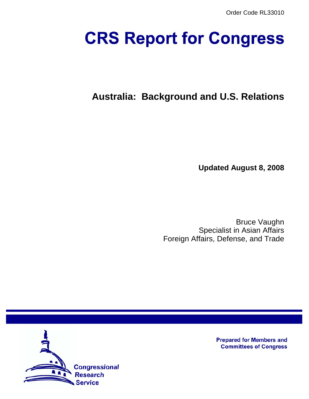# **CRS Report for Congress**

# **Australia: Background and U.S. Relations**

**Updated August 8, 2008**

Bruce Vaughn Specialist in Asian Affairs Foreign Affairs, Defense, and Trade



**Prepared for Members and Committees of Congress**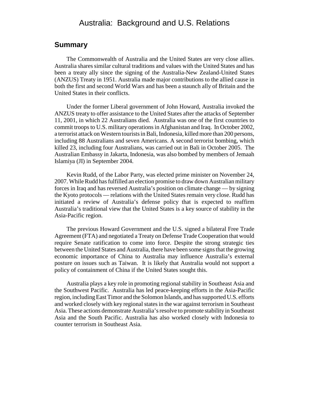# Australia: Background and U.S. Relations

#### **Summary**

The Commonwealth of Australia and the United States are very close allies. Australia shares similar cultural traditions and values with the United States and has been a treaty ally since the signing of the Australia-New Zealand-United States (ANZUS) Treaty in 1951. Australia made major contributions to the allied cause in both the first and second World Wars and has been a staunch ally of Britain and the United States in their conflicts.

Under the former Liberal government of John Howard, Australia invoked the ANZUS treaty to offer assistance to the United States after the attacks of September 11, 2001, in which 22 Australians died. Australia was one of the first countries to commit troops to U.S. military operations in Afghanistan and Iraq. In October 2002, a terrorist attack on Western tourists in Bali, Indonesia, killed more than 200 persons, including 88 Australians and seven Americans. A second terrorist bombing, which killed 23, including four Australians, was carried out in Bali in October 2005. The Australian Embassy in Jakarta, Indonesia, was also bombed by members of Jemaah Islamiya (JI) in September 2004.

Kevin Rudd, of the Labor Party, was elected prime minister on November 24, 2007. While Rudd has fulfilled an election promise to draw down Australian military forces in Iraq and has reversed Australia's position on climate change — by signing the Kyoto protocols — relations with the United States remain very close. Rudd has initiated a review of Australia's defense policy that is expected to reaffirm Australia's traditional view that the United States is a key source of stability in the Asia-Pacific region.

The previous Howard Government and the U.S. signed a bilateral Free Trade Agreement (FTA) and negotiated a Treaty on Defense Trade Cooperation that would require Senate ratification to come into force. Despite the strong strategic ties between the United States and Australia, there have been some signs that the growing economic importance of China to Australia may influence Australia's external posture on issues such as Taiwan. It is likely that Australia would not support a policy of containment of China if the United States sought this.

Australia plays a key role in promoting regional stability in Southeast Asia and the Southwest Pacific. Australia has led peace-keeping efforts in the Asia-Pacific region, including East Timor and the Solomon Islands, and has supported U.S. efforts and worked closely with key regional states in the war against terrorism in Southeast Asia. These actions demonstrate Australia's resolve to promote stability in Southeast Asia and the South Pacific. Australia has also worked closely with Indonesia to counter terrorism in Southeast Asia.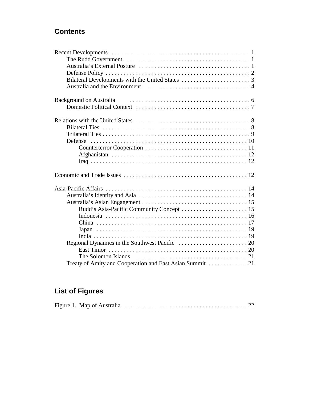# **Contents**

| <b>Background on Australia</b>            |  |  |
|-------------------------------------------|--|--|
|                                           |  |  |
|                                           |  |  |
|                                           |  |  |
|                                           |  |  |
|                                           |  |  |
|                                           |  |  |
|                                           |  |  |
|                                           |  |  |
|                                           |  |  |
|                                           |  |  |
|                                           |  |  |
|                                           |  |  |
| Rudd's Asia-Pacific Community Concept  15 |  |  |
|                                           |  |  |
|                                           |  |  |
|                                           |  |  |
|                                           |  |  |
|                                           |  |  |
|                                           |  |  |
|                                           |  |  |
|                                           |  |  |

# **List of Figures**

|--|--|--|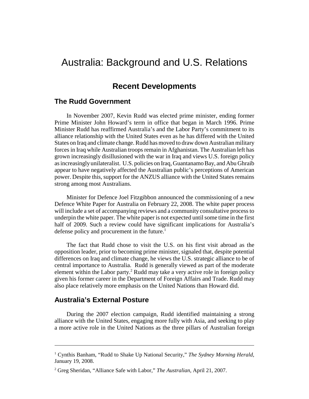# Australia: Background and U.S. Relations

## **Recent Developments**

#### **The Rudd Government**

In November 2007, Kevin Rudd was elected prime minister, ending former Prime Minister John Howard's term in office that began in March 1996. Prime Minister Rudd has reaffirmed Australia's and the Labor Party's commitment to its alliance relationship with the United States even as he has differed with the United States on Iraq and climate change. Rudd has moved to draw down Australian military forces in Iraq while Australian troops remain in Afghanistan. The Australian left has grown increasingly disillusioned with the war in Iraq and views U.S. foreign policy as increasingly unilateralist. U.S. policies on Iraq, Guantanamo Bay, and Abu Ghraib appear to have negatively affected the Australian public's perceptions of American power. Despite this, support for the ANZUS alliance with the United States remains strong among most Australians.

Minister for Defence Joel Fitzgibbon announced the commissioning of a new Defence White Paper for Australia on February 22, 2008. The white paper process will include a set of accompanying reviews and a community consultative process to underpin the white paper. The white paper is not expected until some time in the first half of 2009. Such a review could have significant implications for Australia's defense policy and procurement in the future.<sup>1</sup>

The fact that Rudd chose to visit the U.S. on his first visit abroad as the opposition leader, prior to becoming prime minister, signaled that, despite potential differences on Iraq and climate change, he views the U.S. strategic alliance to be of central importance to Australia. Rudd is generally viewed as part of the moderate element within the Labor party.<sup>2</sup> Rudd may take a very active role in foreign policy given his former career in the Department of Foreign Affairs and Trade. Rudd may also place relatively more emphasis on the United Nations than Howard did.

#### **Australia's External Posture**

During the 2007 election campaign, Rudd identified maintaining a strong alliance with the United States, engaging more fully with Asia, and seeking to play a more active role in the United Nations as the three pillars of Australian foreign

<sup>&</sup>lt;sup>1</sup> Cynthis Banham, "Rudd to Shake Up National Security," The Sydney Morning Herald, January 19, 2008.

<sup>2</sup> Greg Sheridan, "Alliance Safe with Labor," *The Australian*, April 21, 2007.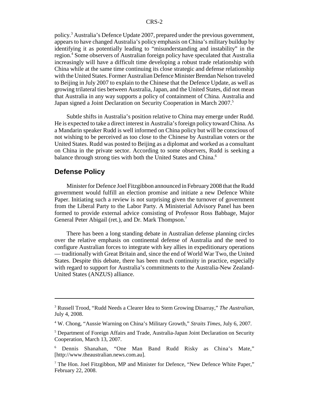policy.<sup>3</sup> Australia's Defence Update 2007, prepared under the previous government, appears to have changed Australia's policy emphasis on China's military buildup by identifying it as potentially leading to "misunderstanding and instability" in the region.<sup>4</sup> Some observers of Australian foreign policy have speculated that Australia increasingly will have a difficult time developing a robust trade relationship with China while at the same time continuing its close strategic and defense relationship with the United States. Former Australian Defence Minister Brendan Nelson traveled to Beijing in July 2007 to explain to the Chinese that the Defence Update, as well as growing trilateral ties between Australia, Japan, and the United States, did not mean that Australia in any way supports a policy of containment of China. Australia and Japan signed a Joint Declaration on Security Cooperation in March 2007.<sup>5</sup>

Subtle shifts in Australia's position relative to China may emerge under Rudd. He is expected to take a direct interest in Australia's foreign policy toward China. As a Mandarin speaker Rudd is well informed on China policy but will be conscious of not wishing to be perceived as too close to the Chinese by Australian voters or the United States. Rudd was posted to Beijing as a diplomat and worked as a consultant on China in the private sector. According to some observers, Rudd is seeking a balance through strong ties with both the United States and China.<sup>6</sup>

#### **Defense Policy**

Minister for Defence Joel Fitzgibbon announced in February 2008 that the Rudd government would fulfill an election promise and initiate a new Defence White Paper. Initiating such a review is not surprising given the turnover of government from the Liberal Party to the Labor Party. A Ministerial Advisory Panel has been formed to provide external advice consisting of Professor Ross Babbage, Major General Peter Abigail (ret.), and Dr. Mark Thompson.<sup>7</sup>

There has been a long standing debate in Australian defense planning circles over the relative emphasis on continental defense of Australia and the need to configure Australian forces to integrate with key allies in expeditionary operations — traditionally with Great Britain and, since the end of World War Two, the United States. Despite this debate, there has been much continuity in practice, especially with regard to support for Australia's commitments to the Australia-New Zealand-United States (ANZUS) alliance.

<sup>3</sup> Russell Trood, "Rudd Needs a Clearer Idea to Stem Growing Disarray," *The Australian,* July 4, 2008.

<sup>4</sup> W. Chong, "Aussie Warning on China's Military Growth," *Straits Times*, July 6, 2007.

<sup>&</sup>lt;sup>5</sup> Department of Foreign Affairs and Trade, Australia-Japan Joint Declaration on Security Cooperation, March 13, 2007.

<sup>6</sup> Dennis Shanahan, "One Man Band Rudd Risky as China's Mate," [http://www.theaustralian.news.com.au].

<sup>&</sup>lt;sup>7</sup> The Hon. Joel Fitzgibbon, MP and Minister for Defence, "New Defence White Paper," February 22, 2008.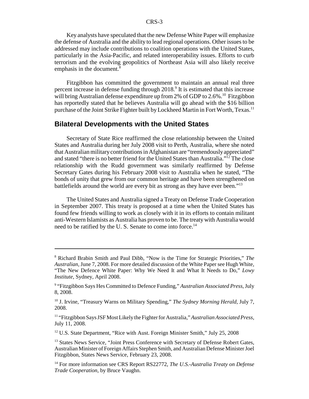Key analysts have speculated that the new Defense White Paper will emphasize the defense of Australia and the ability to lead regional operations. Other issues to be addressed may include contributions to coalition operations with the United States, particularly in the Asia-Pacific, and related interoperability issues. Efforts to curb terrorism and the evolving geopolitics of Northeast Asia will also likely receive emphasis in the document.<sup>8</sup>

Fitzgibbon has committed the government to maintain an annual real three percent increase in defense funding through 2018.<sup>9</sup> It is estimated that this increase will bring Australian defense expenditure up from 2% of GDP to 2.6%.<sup>10</sup> Fitzgibbon has reportedly stated that he believes Australia will go ahead with the \$16 billion purchase of the Joint Strike Fighter built by Lockheed Martin in Fort Worth, Texas.<sup>11</sup>

#### **Bilateral Developments with the United States**

Secretary of State Rice reaffirmed the close relationship between the United States and Australia during her July 2008 visit to Perth, Australia, where she noted that Australian military contributions in Afghanistan are "tremendously appreciated" and stated "there is no better friend for the United States than Australia."12 The close relationship with the Rudd government was similarly reaffirmed by Defense Secretary Gates during his February 2008 visit to Australia when he stated, "The bonds of unity that grew from our common heritage and have been strengthened on battlefields around the world are every bit as strong as they have ever been."13

The United States and Australia signed a Treaty on Defense Trade Cooperation in September 2007. This treaty is proposed at a time when the United States has found few friends willing to work as closely with it in its efforts to contain militant anti-Western Islamists as Australia has proven to be. The treaty with Australia would need to be ratified by the U.S. Senate to come into force.<sup>14</sup>

<sup>12</sup> U.S. State Department, "Rice with Aust. Foreign Minister Smith," July 25, 2008

<sup>8</sup> Richard Brabin Smith and Paul Dibb, "Now is the Time for Strategic Priorities," *The Australian,* June 7, 2008. For more detailed discussion of the White Paper see Hugh White, "The New Defence White Paper: Why We Need It and What It Needs to Do," *Lowy Institute*, Sydney, April 2008.

<sup>9</sup> "Fitzgibbon Says Hes Committed to Defence Funding," *Australian Associated Press,* July 8, 2008.

<sup>&</sup>lt;sup>10</sup> J. Irvine, "Treasury Warns on Military Spending," *The Sydney Morning Herald*, July 7, 2008.

<sup>11 &</sup>quot;Fitzgibbon Says JSF Most Likely the Fighter for Australia," *Australian Associated Press,* July 11, 2008.

<sup>&</sup>lt;sup>13</sup> States News Service, "Joint Press Conference with Secretary of Defense Robert Gates, Australian Minister of Foreign Affairs Stephen Smith, and Australian Defense Minister Joel Fitzgibbon, States News Service, February 23, 2008.

<sup>14</sup> For more information see CRS Report RS22772, *The U.S.-Australia Treaty on Defense Trade Cooperation,* by Bruce Vaughn.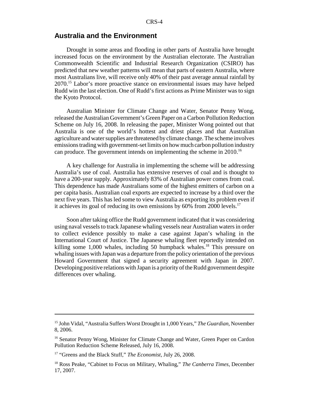#### **Australia and the Environment**

Drought in some areas and flooding in other parts of Australia have brought increased focus on the environment by the Australian electorate. The Australian Commonwealth Scientific and Industrial Research Organization (CSIRO) has predicted that new weather patterns will mean that parts of eastern Australia, where most Australians live, will receive only 40% of their past average annual rainfall by 2070.15 Labor's more proactive stance on environmental issues may have helped Rudd win the last election. One of Rudd's first actions as Prime Minister was to sign the Kyoto Protocol.

Australian Minister for Climate Change and Water, Senator Penny Wong, released the Australian Government's Green Paper on a Carbon Pollution Reduction Scheme on July 16, 2008. In releasing the paper, Minister Wong pointed out that Australia is one of the world's hottest and driest places and that Australian agriculture and water supplies are threatened by climate change. The scheme involves emissions trading with government-set limits on how much carbon pollution industry can produce. The government intends on implementing the scheme in 2010.<sup>16</sup>

A key challenge for Australia in implementing the scheme will be addressing Australia's use of coal. Australia has extensive reserves of coal and is thought to have a 200-year supply. Approximately 83% of Australian power comes from coal. This dependence has made Australians some of the highest emitters of carbon on a per capita basis. Australian coal exports are expected to increase by a third over the next five years. This has led some to view Australia as exporting its problem even if it achieves its goal of reducing its own emissions by  $60\%$  from 2000 levels.<sup>17</sup>

Soon after taking office the Rudd government indicated that it was considering using naval vessels to track Japanese whaling vessels near Australian waters in order to collect evidence possibly to make a case against Japan's whaling in the International Court of Justice. The Japanese whaling fleet reportedly intended on killing some  $1,000$  whales, including 50 humpback whales.<sup>18</sup> This pressure on whaling issues with Japan was a departure from the policy orientation of the previous Howard Government that signed a security agreement with Japan in 2007. Developing positive relations with Japan is a priority of the Rudd government despite differences over whaling.

<sup>15</sup> John Vidal, "Australia Suffers Worst Drought in 1,000 Years," *The Guardian,* November 8, 2006.

<sup>&</sup>lt;sup>16</sup> Senator Penny Wong, Minister for Climate Change and Water, Green Paper on Cardon Pollution Reduction Scheme Released, July 16, 2008.

<sup>17 &</sup>quot;Greens and the Black Stuff," *The Economist,* July 26, 2008.

<sup>18</sup> Ross Peake, "Cabinet to Focus on Military, Whaling," *The Canberra Times,* December 17, 2007.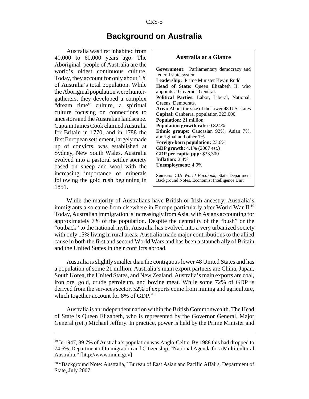# **Background on Australia**

Australia was first inhabited from 40,000 to 60,000 years ago. The Aboriginal people of Australia are the world's oldest continuous culture. Today, they account for only about 1% of Australia's total population. While the Aboriginal population were huntergatherers, they developed a complex "dream time" culture, a spiritual culture focusing on connections to ancestors and the Australian landscape. Captain James Cook claimed Australia for Britain in 1770, and in 1788 the first European settlement, largely made up of convicts, was established at Sydney, New South Wales. Australia evolved into a pastoral settler society based on sheep and wool with the increasing importance of minerals following the gold rush beginning in 1851.



While the majority of Australians have British or Irish ancestry, Australia's immigrants also came from elsewhere in Europe particularly after World War II.<sup>19</sup> Today, Australian immigration is increasingly from Asia, with Asians accounting for approximately 7% of the population. Despite the centrality of the "bush" or the "outback" to the national myth, Australia has evolved into a very urbanized society with only 15% living in rural areas. Australia made major contributions to the allied cause in both the first and second World Wars and has been a staunch ally of Britain and the United States in their conflicts abroad.

Australia is slightly smaller than the contiguous lower 48 United States and has a population of some 21 million. Australia's main export partners are China, Japan, South Korea, the United States, and New Zealand. Australia's main exports are coal, iron ore, gold, crude petroleum, and bovine meat. While some 72% of GDP is derived from the services sector, 52% of exports come from mining and agriculture, which together account for 8% of GDP.<sup>20</sup>

Australia is an independent nation within the British Commonwealth. The Head of State is Queen Elizabeth, who is represented by the Governor General, Major General (ret.) Michael Jeffery. In practice, power is held by the Prime Minister and

<sup>&</sup>lt;sup>19</sup> In 1947, 89.7% of Australia's population was Anglo-Celtic. By 1988 this had dropped to 74.6%. Department of Immigration and Citizenship, "National Agenda for a Multi-cultural Australia," [http://www.immi.gov]

<sup>&</sup>lt;sup>20</sup> "Background Note: Australia," Bureau of East Asian and Pacific Affairs, Department of State, July 2007.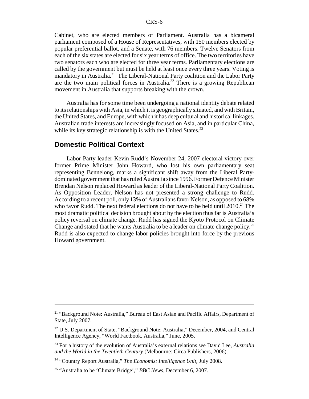Cabinet, who are elected members of Parliament. Australia has a bicameral parliament composed of a House of Representatives, with 150 members elected by popular preferential ballot, and a Senate, with 76 members. Twelve Senators from each of the six states are elected for six year terms of office. The two territories have two senators each who are elected for three year terms. Parliamentary elections are called by the government but must be held at least once every three years. Voting is mandatory in Australia.<sup>21</sup> The Liberal-National Party coalition and the Labor Party are the two main political forces in Australia.<sup>22</sup> There is a growing Republican movement in Australia that supports breaking with the crown.

Australia has for some time been undergoing a national identity debate related to its relationships with Asia, in which it is geographically situated, and with Britain, the United States, and Europe, with which it has deep cultural and historical linkages. Australian trade interests are increasingly focused on Asia, and in particular China, while its key strategic relationship is with the United States. $^{23}$ 

## **Domestic Political Context**

Labor Party leader Kevin Rudd's November 24, 2007 electoral victory over former Prime Minister John Howard, who lost his own parliamentary seat representing Bennelong, marks a significant shift away from the Liberal Partydominated government that has ruled Australia since 1996. Former Defence Minister Brendan Nelson replaced Howard as leader of the Liberal-National Party Coalition. As Opposition Leader, Nelson has not presented a strong challenge to Rudd. According to a recent poll, only 13% of Australians favor Nelson, as opposed to 68% who favor Rudd. The next federal elections do not have to be held until  $2010<sup>24</sup>$  The most dramatic political decision brought about by the election thus far is Australia's policy reversal on climate change. Rudd has signed the Kyoto Protocol on Climate Change and stated that he wants Australia to be a leader on climate change policy.25 Rudd is also expected to change labor policies brought into force by the previous Howard government.

<sup>&</sup>lt;sup>21</sup> "Background Note: Australia," Bureau of East Asian and Pacific Affairs, Department of State, July 2007.

<sup>&</sup>lt;sup>22</sup> U.S. Department of State, "Background Note: Australia," December, 2004, and Central Intelligence Agency, "World Factbook, Australia," June, 2005.

<sup>23</sup> For a history of the evolution of Australia's external relations see David Lee, *Australia and the World in the Twentieth Century* (Melbourne: Circa Publishers, 2006).

<sup>24 &</sup>quot;Country Report Australia," *The Economist Intelligence Unit*, July 2008.

<sup>25 &</sup>quot;Australia to be 'Climate Bridge'," *BBC News,* December 6, 2007.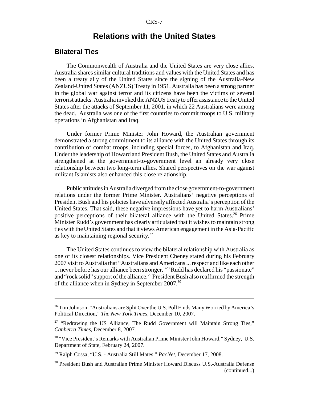# **Relations with the United States**

### **Bilateral Ties**

The Commonwealth of Australia and the United States are very close allies. Australia shares similar cultural traditions and values with the United States and has been a treaty ally of the United States since the signing of the Australia-New Zealand-United States (ANZUS) Treaty in 1951. Australia has been a strong partner in the global war against terror and its citizens have been the victims of several terrorist attacks. Australia invoked the ANZUS treaty to offer assistance to the United States after the attacks of September 11, 2001, in which 22 Australians were among the dead. Australia was one of the first countries to commit troops to U.S. military operations in Afghanistan and Iraq.

Under former Prime Minister John Howard, the Australian government demonstrated a strong commitment to its alliance with the United States through its contribution of combat troops, including special forces, to Afghanistan and Iraq. Under the leadership of Howard and President Bush, the United States and Australia strengthened at the government-to-government level an already very close relationship between two long-term allies. Shared perspectives on the war against militant Islamists also enhanced this close relationship.

Public attitudes in Australia diverged from the close government-to-government relations under the former Prime Minister. Australians' negative perceptions of President Bush and his policies have adversely affected Australia's perception of the United States. That said, these negative impressions have yet to harm Australians' positive perceptions of their bilateral alliance with the United States.<sup>26</sup> Prime Minister Rudd's government has clearly articulated that it wishes to maintain strong ties with the United States and that it views American engagement in the Asia-Pacific as key to maintaining regional security.<sup>27</sup>

The United States continues to view the bilateral relationship with Australia as one of its closest relationships. Vice President Cheney stated during his February 2007 visit to Australia that "Australians and Americans ... respect and like each other ... never before has our alliance been stronger."28 Rudd has declared his "passionate" and "rock solid" support of the alliance.<sup>29</sup> President Bush also reaffirmed the strength of the alliance when in Sydney in September 2007.30

<sup>&</sup>lt;sup>26</sup> Tim Johnson, "Australians are Split Over the U.S. Poll Finds Many Worried by America's Political Direction," *The New York Times,* December 10, 2007.

 $27$  "Redrawing the US Alliance, The Rudd Government will Maintain Strong Ties," *Canberra Times,* December 8, 2007.

<sup>&</sup>lt;sup>28</sup> "Vice President's Remarks with Australian Prime Minister John Howard," Sydney, U.S. Department of State, February 24, 2007.

<sup>29</sup> Ralph Cossa, "U.S. - Australia Still Mates," *PacNet,* December 17, 2008.

<sup>&</sup>lt;sup>30</sup> President Bush and Australian Prime Minister Howard Discuss U.S.-Australia Defense (continued...)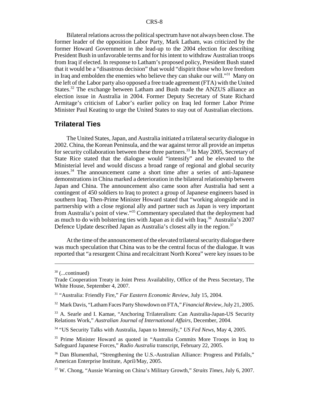Bilateral relations across the political spectrum have not always been close. The former leader of the opposition Labor Party, Mark Latham, was criticized by the former Howard Government in the lead-up to the 2004 election for describing President Bush in unfavorable terms and for his intent to withdraw Australian troops from Iraq if elected. In response to Latham's proposed policy, President Bush stated that it would be a "disastrous decision" that would "dispirit those who love freedom in Iraq and embolden the enemies who believe they can shake our will."<sup>31</sup> Many on the left of the Labor party also opposed a free trade agreement (FTA) with the United States.<sup>32</sup> The exchange between Latham and Bush made the ANZUS alliance an election issue in Australia in 2004. Former Deputy Secretary of State Richard Armitage's criticism of Labor's earlier policy on Iraq led former Labor Prime Minister Paul Keating to urge the United States to stay out of Australian elections.

#### **Trilateral Ties**

The United States, Japan, and Australia initiated a trilateral security dialogue in 2002. China, the Korean Peninsula, and the war against terror all provide an impetus for security collaboration between these three partners.<sup>33</sup> In May 2005, Secretary of State Rice stated that the dialogue would "intensify" and be elevated to the Ministerial level and would discuss a broad range of regional and global security issues.34 The announcement came a short time after a series of anti-Japanese demonstrations in China marked a deterioration in the bilateral relationship between Japan and China. The announcement also came soon after Australia had sent a contingent of 450 soldiers to Iraq to protect a group of Japanese engineers based in southern Iraq. Then-Prime Minister Howard stated that "working alongside and in partnership with a close regional ally and partner such as Japan is very important from Australia's point of view."35 Commentary speculated that the deployment had as much to do with bolstering ties with Japan as it did with Iraq.<sup>36</sup> Australia's 2007 Defence Update described Japan as Australia's closest ally in the region.<sup>37</sup>

At the time of the announcement of the elevated trilateral security dialogue there was much speculation that China was to be the central focus of the dialogue. It was reported that "a resurgent China and recalcitrant North Korea" were key issues to be

 $30$  (...continued)

Trade Cooperation Treaty in Joint Press Availability, Office of the Press Secretary, The White House, September 4, 2007.

<sup>31 &</sup>quot;Australia: Friendly Fire," *Far Eastern Economic Review*, July 15, 2004.

<sup>32</sup> Mark Davis, "Latham Faces Party Showdown on FTA," *Financial Review,* July 21, 2005.

<sup>33</sup> A. Searle and I. Kamae, "Anchoring Trilateralism: Can Australia-Japan-US Security Relations Work," *Australian Journal of International Affairs,* December, 2004.

<sup>34 &</sup>quot;US Security Talks with Australia, Japan to Intensify," *US Fed News,* May 4, 2005.

<sup>&</sup>lt;sup>35</sup> Prime Minister Howard as quoted in "Australia Commits More Troops in Iraq to Safeguard Japanese Forces," *Radio Australia* transcript, February 22, 2005.

<sup>&</sup>lt;sup>36</sup> Dan Blumenthal, "Strengthening the U.S.-Australian Alliance: Progress and Pitfalls," American Enterprise Institute, April/May, 2005.

<sup>37</sup> W. Chong, "Aussie Warning on China's Military Growth," *Straits Times*, July 6, 2007.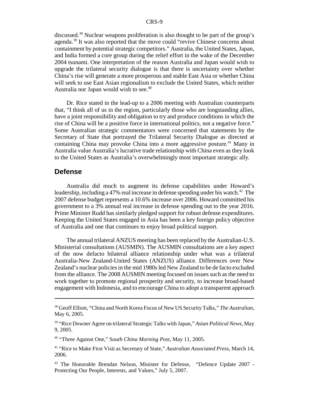discussed.38 Nuclear weapons proliferation is also thought to be part of the group's agenda.39 It was also reported that the move could "revive Chinese concerns about containment by potential strategic competitors." Australia, the United States, Japan, and India formed a core group during the relief effort in the wake of the December 2004 tsunami. One interpretation of the reason Australia and Japan would wish to upgrade the trilateral security dialogue is that there is uncertainty over whether China's rise will generate a more prosperous and stable East Asia or whether China will seek to use East Asian regionalism to exclude the United States, which neither Australia nor Japan would wish to see.<sup>40</sup>

Dr. Rice stated in the lead-up to a 2006 meeting with Australian counterparts that, "I think all of us in the region, particularly those who are longstanding allies, have a joint responsibility and obligation to try and produce conditions in which the rise of China will be a positive force in international politics, not a negative force." Some Australian strategic commentators were concerned that statements by the Secretary of State that portrayed the Trilateral Security Dialogue as directed at containing China may provoke China into a more aggressive posture.<sup>41</sup> Many in Australia value Australia's lucrative trade relationship with China even as they look to the United States as Australia's overwhelmingly most important strategic ally.

#### **Defense**

Australia did much to augment its defense capabilities under Howard's leadership, including a 47% real increase in defense spending under his watch.<sup>42</sup> The 2007 defense budget represents a 10.6% increase over 2006. Howard committed his government to a 3% annual real increase in defense spending out to the year 2016. Prime Minister Rudd has similarly pledged support for robust defense expenditures. Keeping the United States engaged in Asia has been a key foreign policy objective of Australia and one that continues to enjoy broad political support.

The annual trilateral ANZUS meeting has been replaced by the Australian-U.S. Ministerial consultations (AUSMIN). The AUSMIN consultations are a key aspect of the now defacto bilateral alliance relationship under what was a trilateral Australia-New Zealand-United States (ANZUS) alliance. Differences over New Zealand's nuclear policies in the mid 1980s led New Zealand to be de facto excluded from the alliance. The 2008 AUSMIN meeting focused on issues such as the need to work together to promote regional prosperity and security, to increase broad-based engagement with Indonesia, and to encourage China to adopt a transparent approach

<sup>38</sup> Geoff Elliott, "China and North Korea Focus of New US Security Talks," *The Australian,* May 6, 2005.

<sup>39 &</sup>quot;Rice Downer Agree on trilateral Strategic Talks with Japan," *Asian Political News,* May 9, 2005.

<sup>40 &</sup>quot;Three Against One," S*outh China Morning Post*, May 11, 2005.

<sup>41 &</sup>quot;Rice to Make First Visit as Secretary of State," *Australian Associated Press,* March 14, 2006.

<sup>&</sup>lt;sup>42</sup> The Honorable Brendan Nelson, Minister for Defense, "Defence Update 2007 -Protecting Our People, Interests, and Values," July 5, 2007.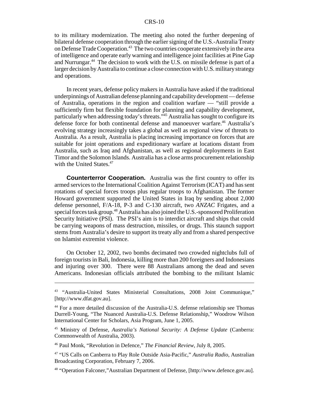to its military modernization. The meeting also noted the further deepening of bilateral defense cooperation through the earlier signing of the U.S.-Australia Treaty on Defense Trade Cooperation.<sup>43</sup> The two countries cooperate extensively in the area of intelligence and operate early warning and intelligence joint facilities at Pine Gap and Nurrungar.<sup>44</sup> The decision to work with the U.S. on missile defense is part of a larger decision by Australia to continue a close connection with U.S. military strategy and operations.

In recent years, defense policy makers in Australia have asked if the traditional underpinnings of Australian defense planning and capability development — defense of Australia, operations in the region and coalition warfare — "still provide a sufficiently firm but flexible foundation for planning and capability development, particularly when addressing today's threats."<sup>45</sup> Australia has sought to configure its defense force for both continental defense and manoeuver warfare.<sup>46</sup> Australia's evolving strategy increasingly takes a global as well as regional view of threats to Australia. As a result, Australia is placing increasing importance on forces that are suitable for joint operations and expeditionary warfare at locations distant from Australia, such as Iraq and Afghanistan, as well as regional deployments in East Timor and the Solomon Islands. Australia has a close arms procurement relationship with the United States. $47$ 

**Counterterror Cooperation.** Australia was the first country to offer its armed services to the International Coalition Against Terrorism (ICAT) and has sent rotations of special forces troops plus regular troops to Afghanistan. The former Howard government supported the United States in Iraq by sending about 2,000 defense personnel, F/A-18, P-3 and C-130 aircraft, two *ANZAC* Frigates, and a special forces task group.<sup>48</sup> Australia has also joined the U.S.-sponsored Proliferation Security Initiative (PSI). The PSI's aim is to interdict aircraft and ships that could be carrying weapons of mass destruction, missiles, or drugs. This staunch support stems from Australia's desire to support its treaty ally and from a shared perspective on Islamist extremist violence.

On October 12, 2002, two bombs decimated two crowded nightclubs full of foreign tourists in Bali, Indonesia, killing more than 200 foreigners and Indonesians and injuring over 300. There were 88 Australians among the dead and seven Americans. Indonesian officials attributed the bombing to the militant Islamic

<sup>43 &</sup>quot;Australia-United States Ministerial Consultations, 2008 Joint Communique," [http://www.dfat.gov.au].

<sup>44</sup> For a more detailed discussion of the Australia-U.S. defense relationship see Thomas Durrell-Young, "The Nuanced Australia-U.S. Defense Relationship," Woodrow Wilson International Center for Scholars, Asia Program, June 1, 2005.

<sup>45</sup> Ministry of Defense, *Australia's National Security: A Defense Update* (Canberra: Commonwealth of Australia, 2003).

<sup>46</sup> Paul Monk, "Revolution in Defence," *The Financial Review*, July 8, 2005.

<sup>47 &</sup>quot;US Calls on Canberra to Play Role Outside Asia-Pacific," *Australia Radio,* Australian Broadcasting Corporation, February 7, 2006.

<sup>48 &</sup>quot;Operation Falconer,"Australian Department of Defense, [http://www.defence.gov.au].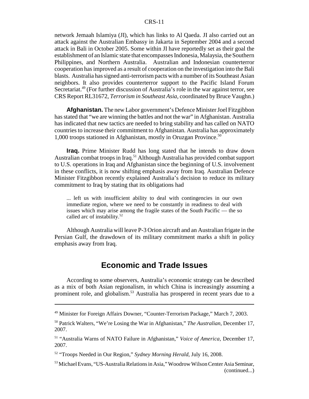network Jemaah Islamiya (JI), which has links to Al Qaeda. JI also carried out an attack against the Australian Embassy in Jakarta in September 2004 and a second attack in Bali in October 2005. Some within JI have reportedly set as their goal the establishment of an Islamic state that encompasses Indonesia, Malaysia, the Southern Philippines, and Northern Australia. Australian and Indonesian counterterror cooperation has improved as a result of cooperation on the investigation into the Bali blasts. Australia has signed anti-terrorism pacts with a number of its Southeast Asian neighbors. It also provides counterterror support to the Pacific Island Forum Secretariat.<sup>49</sup> (For further discussion of Australia's role in the war against terror, see CRS Report RL31672, *Terrorism in Southeast Asia,* coordinated by Bruce Vaughn.)

**Afghanistan.** The new Labor government's Defence Minister Joel Fitzgibbon has stated that "we are winning the battles and not the war" in Afghanistan. Australia has indicated that new tactics are needed to bring stability and has called on NATO countries to increase their commitment to Afghanistan. Australia has approximately 1,000 troops stationed in Afghanistan, mostly in Oruzgan Province.50

**Iraq.** Prime Minister Rudd has long stated that he intends to draw down Australian combat troops in Iraq.<sup>51</sup> Although Australia has provided combat support to U.S. operations in Iraq and Afghanistan since the beginning of U.S. involvement in these conflicts, it is now shifting emphasis away from Iraq. Australian Defence Minister Fitzgibbon recently explained Australia's decision to reduce its military commitment to Iraq by stating that its obligations had

... left us with insufficient ability to deal with contingencies in our own immediate region, where we need to be constantly in readiness to deal with issues which may arise among the fragile states of the South Pacific — the so called arc of instability.52

Although Australia will leave P-3 Orion aircraft and an Australian frigate in the Persian Gulf, the drawdown of its military commitment marks a shift in policy emphasis away from Iraq.

# **Economic and Trade Issues**

According to some observers, Australia's economic strategy can be described as a mix of both Asian regionalism, in which China is increasingly assuming a prominent role, and globalism.<sup>53</sup> Australia has prospered in recent years due to a

<sup>49</sup> Minister for Foreign Affairs Downer, "Counter-Terrorism Package," March 7, 2003.

<sup>50</sup> Patrick Walters, "We're Losing the War in Afghanistan," *The Australian,* December 17, 2007.

<sup>51 &</sup>quot;Australia Warns of NATO Failure in Afghanistan," *Voice of America,* December 17, 2007.

<sup>52 &</sup>quot;Troops Needed in Our Region," *Sydney Morning Herald,* July 16, 2008.

<sup>53</sup> Michael Evans, "US-Australia Relations in Asia," Woodrow Wilson Center Asia Seminar, (continued...)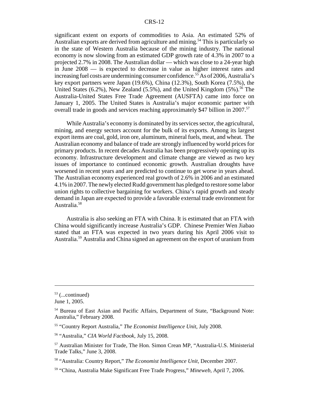significant extent on exports of commodities to Asia. An estimated 52% of Australian exports are derived from agriculture and mining.<sup>54</sup> This is particularly so in the state of Western Australia because of the mining industry. The national economy is now slowing from an estimated GDP growth rate of 4.3% in 2007 to a projected 2.7% in 2008. The Australian dollar — which was close to a 24-year high in June 2008 — is expected to decrease in value as higher interest rates and increasing fuel costs are undermining consumer confidence.<sup>55</sup> As of 2006, Australia's key export partners were Japan (19.6%), China (12.3%), South Korea (7.5%), the United States (6.2%), New Zealand (5.5%), and the United Kingdom (5%).<sup>56</sup> The Australia-United States Free Trade Agreement (AUSFTA) came into force on January 1, 2005. The United States is Australia's major economic partner with overall trade in goods and services reaching approximately \$47 billion in 2007.<sup>57</sup>

While Australia's economy is dominated by its services sector, the agricultural, mining, and energy sectors account for the bulk of its exports. Among its largest export items are coal, gold, iron ore, aluminum, mineral fuels, meat, and wheat. The Australian economy and balance of trade are strongly influenced by world prices for primary products. In recent decades Australia has been progressively opening up its economy. Infrastructure development and climate change are viewed as two key issues of importance to continued economic growth. Australian droughts have worsened in recent years and are predicted to continue to get worse in years ahead. The Australian economy experienced real growth of 2.6% in 2006 and an estimated 4.1% in 2007. The newly elected Rudd government has pledged to restore some labor union rights to collective bargaining for workers. China's rapid growth and steady demand in Japan are expected to provide a favorable external trade environment for Australia.<sup>58</sup>

Australia is also seeking an FTA with China. It is estimated that an FTA with China would significantly increase Australia's GDP. Chinese Premier Wen Jiabao stated that an FTA was expected in two years during his April 2006 visit to Australia.59 Australia and China signed an agreement on the export of uranium from

 $53$  (...continued)

June 1, 2005.

<sup>54</sup> Bureau of East Asian and Pacific Affairs, Department of State, "Background Note: Australia," February 2008.

<sup>55 &</sup>quot;Country Report Australia," *The Economist Intelligence Unit*, July 2008.

<sup>56 &</sup>quot;Australia," *CIA World Factbook*, July 15, 2008.

<sup>57</sup> Australian Minister for Trade, The Hon. Simon Crean MP, "Australia-U.S. Ministerial Trade Talks," June 3, 2008.

<sup>58 &</sup>quot;Australia: Country Report," *The Economist Intelligence Unit,* December 2007.

<sup>59 &</sup>quot;China, Australia Make Significant Free Trade Progress," *Mineweb,* April 7, 2006.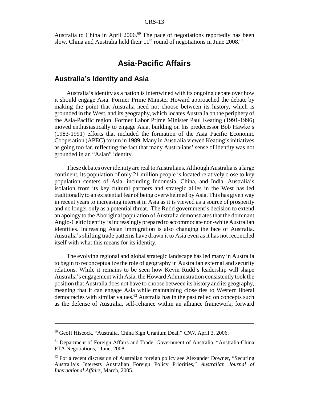Australia to China in April 2006.<sup>60</sup> The pace of negotiations reportedly has been slow. China and Australia held their  $11<sup>th</sup>$  round of negotiations in June 2008.<sup>61</sup>

## **Asia-Pacific Affairs**

#### **Australia's Identity and Asia**

Australia's identity as a nation is intertwined with its ongoing debate over how it should engage Asia. Former Prime Minister Howard approached the debate by making the point that Australia need not choose between its history, which is grounded in the West, and its geography, which locates Australia on the periphery of the Asia-Pacific region. Former Labor Prime Minister Paul Keating (1991-1996) moved enthusiastically to engage Asia, building on his predecessor Bob Hawke's (1983-1991) efforts that included the formation of the Asia Pacific Economic Cooperation (APEC) forum in 1989. Many in Australia viewed Keating's initiatives as going too far, reflecting the fact that many Australians' sense of identity was not grounded in an "Asian" identity.

These debates over identity are real to Australians. Although Australia is a large continent, its population of only 21 million people is located relatively close to key population centers of Asia, including Indonesia, China, and India. Australia's isolation from its key cultural partners and strategic allies in the West has led traditionally to an existential fear of being overwhelmed by Asia. This has given way in recent years to increasing interest in Asia as it is viewed as a source of prosperity and no longer only as a potential threat. The Rudd government's decision to extend an apology to the Aboriginal population of Australia demonstrates that the dominant Anglo-Celtic identity is increasingly prepared to accommodate non-white Australian identities. Increasing Asian immigration is also changing the face of Australia. Australia's shifting trade patterns have drawn it to Asia even as it has not reconciled itself with what this means for its identity.

The evolving regional and global strategic landscape has led many in Australia to begin to reconceptualize the role of geography in Australian external and security relations. While it remains to be seen how Kevin Rudd's leadership will shape Australia's engagement with Asia, the Howard Administration consistently took the position that Australia does not have to choose between its history and its geography, meaning that it can engage Asia while maintaining close ties to Western liberal democracies with similar values.62 Australia has in the past relied on concepts such as the defense of Australia, self-reliance within an alliance framework, forward

<sup>60</sup> Geoff Hiscock, "Australia, China Sign Uranium Deal," *CNN,* April 3, 2006.

<sup>61</sup> Department of Foreign Affairs and Trade, Government of Australia, "Australia-China FTA Negotiations," June, 2008.

 $62$  For a recent discussion of Australian foreign policy see Alexander Downer, "Securing Australia's Interests Australian Foreign Policy Priorities," *Australian Journal of International Affairs*, March, 2005.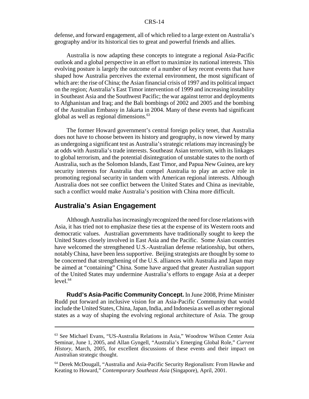defense, and forward engagement, all of which relied to a large extent on Australia's geography and/or its historical ties to great and powerful friends and allies.

Australia is now adapting these concepts to integrate a regional Asia-Pacific outlook and a global perspective in an effort to maximize its national interests. This evolving posture is largely the outcome of a number of key recent events that have shaped how Australia perceives the external environment, the most significant of which are: the rise of China; the Asian financial crisis of 1997 and its political impact on the region; Australia's East Timor intervention of 1999 and increasing instability in Southeast Asia and the Southwest Pacific; the war against terror and deployments to Afghanistan and Iraq; and the Bali bombings of 2002 and 2005 and the bombing of the Australian Embassy in Jakarta in 2004. Many of these events had significant global as well as regional dimensions. $63$ 

The former Howard government's central foreign policy tenet, that Australia does not have to choose between its history and geography, is now viewed by many as undergoing a significant test as Australia's strategic relations may increasingly be at odds with Australia's trade interests. Southeast Asian terrorism, with its linkages to global terrorism, and the potential disintegration of unstable states to the north of Australia, such as the Solomon Islands, East Timor, and Papua New Guinea, are key security interests for Australia that compel Australia to play an active role in promoting regional security in tandem with American regional interests. Although Australia does not see conflict between the United States and China as inevitable, such a conflict would make Australia's position with China more difficult.

### **Australia's Asian Engagement**

Although Australia has increasingly recognized the need for close relations with Asia, it has tried not to emphasize these ties at the expense of its Western roots and democratic values. Australian governments have traditionally sought to keep the United States closely involved in East Asia and the Pacific. Some Asian countries have welcomed the strengthened U.S.-Australian defense relationship, but others, notably China, have been less supportive. Beijing strategists are thought by some to be concerned that strengthening of the U.S. alliances with Australia and Japan may be aimed at "containing" China. Some have argued that greater Australian support of the United States may undermine Australia's efforts to engage Asia at a deeper  $level.<sup>64</sup>$ 

**Rudd's Asia-Pacific Community Concept.** In June 2008, Prime Minister Rudd put forward an inclusive vision for an Asia-Pacific Community that would include the United States, China, Japan, India, and Indonesia as well as other regional states as a way of shaping the evolving regional architecture of Asia. The group

<sup>63</sup> See Michael Evans, "US-Australia Relations in Asia," Woodrow Wilson Center Asia Seminar, June 1, 2005, and Allan Gyngell, "Australia's Emerging Global Role," *Current History,* March, 2005, for excellent discussions of these events and their impact on Australian strategic thought.

<sup>64</sup> Derek McDougall, "Australia and Asia-Pacific Security Regionalism: From Hawke and Keating to Howard," *Contemporary Southeast Asia* (Singapore), April, 2001.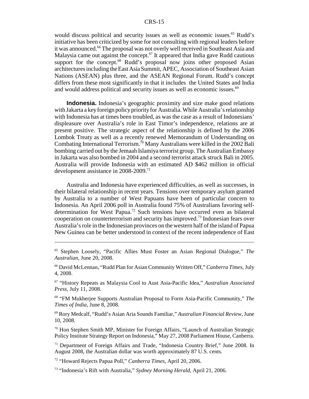would discuss political and security issues as well as economic issues.<sup>65</sup> Rudd's initiative has been criticized by some for not consulting with regional leaders before it was announced.<sup>66</sup> The proposal was not overly well received in Southeast Asia and Malaysia came out against the concept.<sup>67</sup> It appeared that India gave Rudd cautious support for the concept.<sup>68</sup> Rudd's proposal now joins other proposed Asian architectures including the East Asia Summit, APEC, Association of Southeast Asian Nations (ASEAN) plus three, and the ASEAN Regional Forum. Rudd's concept differs from these most significantly in that it includes the United States and India and would address political and security issues as well as economic issues.<sup>69</sup>

**Indonesia.** Indonesia's geographic proximity and size make good relations with Jakarta a key foreign policy priority for Australia. While Australia's relationship with Indonesia has at times been troubled, as was the case as a result of Indonesians' displeasure over Australia's role in East Timor's independence, relations are at present positive. The strategic aspect of the relationship is defined by the 2006 Lombok Treaty as well as a recently renewed Memorandum of Understanding on Combating International Terrorism.<sup>70</sup> Many Australians were killed in the 2002 Bali bombing carried out by the Jemaah Islamiya terrorist group. The Australian Embassy in Jakarta was also bombed in 2004 and a second terrorist attack struck Bali in 2005. Australia will provide Indonesia with an estimated AD \$462 million in official development assistance in 2008-2009.<sup>71</sup>

Australia and Indonesia have experienced difficulties, as well as successes, in their bilateral relationship in recent years. Tensions over temporary asylum granted by Australia to a number of West Papuans have been of particular concern to Indonesia. An April 2006 poll in Australia found 75% of Australians favoring selfdetermination for West Papua.<sup>72</sup> Such tensions have occurred even as bilateral cooperation on counterterrorism and security has improved.73 Indonesian fears over Australia's role in the Indonesian provinces on the western half of the island of Papua New Guinea can be better understood in context of the recent independence of East

66 David McLennan, "Rudd Plan for Asian Community Written Off," *Canberra Times*, July 4, 2008.

67 "History Repeats as Malaysia Cool to Aust Asia-Pacific Idea," *Australian Associated Press,* July 11, 2008.

68 "FM Mukherjee Supports Australian Proposal to Form Asia-Pacific Community," *The Times of India*, June 8, 2008.

69 Rory Medcalf, "Rudd's Asian Aria Sounds Familiar," *Australian Financial Review*, June 10, 2008.

70 Hon Stephen Smith MP, Minister for Foreign Affairs, "Launch of Australian Strategic Policy Institute Strategy Report on Indonesia," May 27, 2008 Parliament House, Canberra.

71 Department of Foreign Affairs and Trade, "Indonesia Country Brief," June 2008. In August 2008, the Australian dollar was worth approximately 87 U.S. cents.

72 "Howard Rejects Papua Poll," *Canberra Times,* April 20, 2006.

73 "Indonesia's Rift with Australia," *Sydney Morning Herald,* April 21, 2006.

<sup>65</sup> Stephen Loosely, "Pacific Allies Must Foster an Asian Regional Dialogue," *The Australian,* June 20, 2008.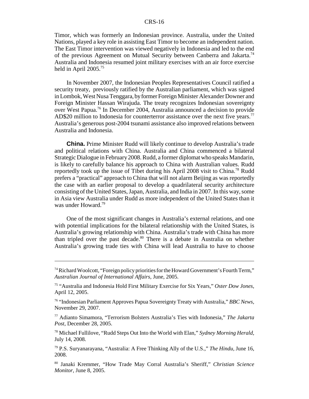Timor, which was formerly an Indonesian province. Australia, under the United Nations, played a key role in assisting East Timor to become an independent nation. The East Timor intervention was viewed negatively in Indonesia and led to the end of the previous Agreement on Mutual Security between Canberra and Jakarta.<sup>74</sup> Australia and Indonesia resumed joint military exercises with an air force exercise held in April 2005.75

In November 2007, the Indonesian Peoples Representatives Council ratified a security treaty, previously ratified by the Australian parliament, which was signed in Lombok, West Nusa Tenggara, by former Foreign Minister Alexander Downer and Foreign Minister Hassan Wirajuda. The treaty recognizes Indonesian sovereignty over West Papua.76 In December 2004, Australia announced a decision to provide AD\$20 million to Indonesia for counterterror assistance over the next five years.<sup>77</sup> Australia's generous post-2004 tsunami assistance also improved relations between Australia and Indonesia.

**China.** Prime Minister Rudd will likely continue to develop Australia's trade and political relations with China. Australia and China commenced a bilateral Strategic Dialogue in February 2008. Rudd, a former diplomat who speaks Mandarin, is likely to carefully balance his approach to China with Australian values. Rudd reportedly took up the issue of Tibet during his April 2008 visit to China.<sup>78</sup> Rudd prefers a "practical" approach to China that will not alarm Beijing as was reportedly the case with an earlier proposal to develop a quadrilateral security architecture consisting of the United States, Japan, Australia, and India in 2007. In this way, some in Asia view Australia under Rudd as more independent of the United States than it was under Howard.79

One of the most significant changes in Australia's external relations, and one with potential implications for the bilateral relationship with the United States, is Australia's growing relationship with China. Australia's trade with China has more than tripled over the past decade.<sup>80</sup> There is a debate in Australia on whether Australia's growing trade ties with China will lead Australia to have to choose

<sup>74</sup> Richard Woolcott, "Foreign policy priorities for the Howard Government's Fourth Term," *Australian Journal of International Affairs,* June, 2005.

<sup>75 &</sup>quot;Australia and Indonesia Hold First Military Exercise for Six Years," *Oster Dow Jones,* April 12, 2005.

<sup>76 &</sup>quot;Indonesian Parliament Approves Papua Sovereignty Treaty with Australia," *BBC News,* November 29, 2007.

<sup>77</sup> Adianto Simamora, "Terrorism Bolsters Australia's Ties with Indonesia," *The Jakarta Post*, December 28, 2005.

<sup>78</sup> Michael Fullilove, "Rudd Steps Out Into the World with Elan," *Sydney Morning Herald,* July 14, 2008.

<sup>79</sup> P.S. Suryanarayana, "Australia: A Free Thinking Ally of the U.S.," *The Hindu,* June 16, 2008.

<sup>80</sup> Janaki Kremmer, "How Trade May Corral Australia's Sheriff," *Christian Science Monitor,* June 8, 2005.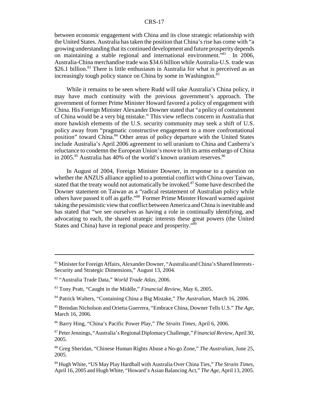between economic engagement with China and its close strategic relationship with the United States. Australia has taken the position that China's rise has come with "a growing understanding that its continued development and future prosperity depends on maintaining a stable regional and international environment."81 In 2006, Australia-China merchandise trade was \$34.6 billion while Australia-U.S. trade was \$26.1 billion.<sup>82</sup> There is little enthusiasm in Australia for what is perceived as an increasingly tough policy stance on China by some in Washington.<sup>83</sup>

While it remains to be seen where Rudd will take Australia's China policy, it may have much continuity with the previous government's approach. The government of former Prime Minister Howard favored a policy of engagement with China. His Foreign Minister Alexander Downer stated that "a policy of containment of China would be a very big mistake." This view reflects concern in Australia that more hawkish elements of the U.S. security community may seek a shift of U.S. policy away from "pragmatic constructive engagement to a more confrontational position" toward China.<sup>84</sup> Other areas of policy departure with the United States include Australia's April 2006 agreement to sell uranium to China and Canberra's reluctance to condemn the European Union's move to lift its arms embargo of China in 2005.<sup>85</sup> Australia has 40% of the world's known uranium reserves.<sup>86</sup>

In August of 2004, Foreign Minister Downer, in response to a question on whether the ANZUS alliance applied to a potential conflict with China over Taiwan, stated that the treaty would not automatically be invoked.<sup>87</sup> Some have described the Downer statement on Taiwan as a "radical restatement of Australian policy while others have passed it off as gaffe."88 Former Prime Minster Howard warned against taking the pessimistic view that conflict between America and China is inevitable and has stated that "we see ourselves as having a role in continually identifying, and advocating to each, the shared strategic interests these great powers (the United States and China) have in regional peace and prosperity."89

<sup>81</sup> Minister for Foreign Affairs, Alexander Downer, "Australia and China's Shared Interests - Security and Strategic Dimensions," August 13, 2004.

<sup>82 &</sup>quot;Australia Trade Data," *World Trade Atlas,* 2006.

<sup>83</sup> Tony Pratt, "Caught in the Middle," *Financial Review,* May 6, 2005.

<sup>84</sup> Patrick Walters, "Containing China a Big Mistake," *The Australian,* March 16, 2006.

<sup>85</sup> Brendan Nicholson and Orietta Guerrera, "Embrace China, Downer Tells U.S." *The Age,* March 16, 2006.

<sup>86</sup> Barry Hing, "China's Pacific Power Play," *The Straits Times,* April 6, 2006.

<sup>87</sup> Peter Jennings, "Australia's Regional Diplomacy Challenge," *Financial Review*, April 30, 2005.

<sup>88</sup> Greg Sheridan, "Chinese Human Rights Abuse a No-go Zone," *The Australian*, June 25, 2005.

<sup>89</sup> Hugh White, "US May Play Hardball with Australia Over China Ties," *The Straits Times,* April 16, 2005 and Hugh White, "Howard's Asian Balancing Act," *The Age*, April 13, 2005.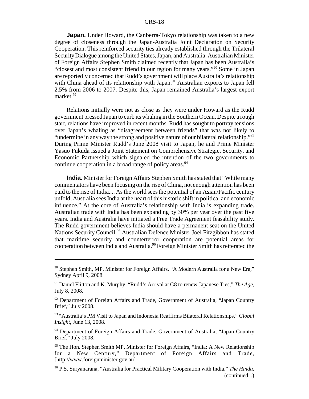**Japan.** Under Howard, the Canberra-Tokyo relationship was taken to a new degree of closeness through the Japan-Australia Joint Declaration on Security Cooperation. This reinforced security ties already established through the Trilateral Security Dialogue among the United States, Japan, and Australia. Australian Minister of Foreign Affairs Stephen Smith claimed recently that Japan has been Australia's "closest and most consistent friend in our region for many years."90 Some in Japan are reportedly concerned that Rudd's government will place Australia's relationship with China ahead of its relationship with Japan.<sup>91</sup> Australian exports to Japan fell 2.5% from 2006 to 2007. Despite this, Japan remained Australia's largest export market. $92$ 

Relations initially were not as close as they were under Howard as the Rudd government pressed Japan to curb its whaling in the Southern Ocean. Despite a rough start, relations have improved in recent months. Rudd has sought to portray tensions over Japan's whaling as "disagreement between friends" that was not likely to "undermine in any way the strong and positive nature of our bilateral relationship."<sup>93</sup> During Prime Minister Rudd's June 2008 visit to Japan, he and Prime Minister Yasuo Fukuda issued a Joint Statement on Comprehensive Strategic, Security, and Economic Partnership which signaled the intention of the two governments to continue cooperation in a broad range of policy areas.<sup>94</sup>

**India.** Minister for Foreign Affairs Stephen Smith has stated that "While many commentators have been focusing on the rise of China, not enough attention has been paid to the rise of India.... As the world sees the potential of an Asian/Pacific century unfold, Australia sees India at the heart of this historic shift in political and economic influence." At the core of Australia's relationship with India is expanding trade. Australian trade with India has been expanding by 30% per year over the past five years. India and Australia have initiated a Free Trade Agreement feasability study. The Rudd government believes India should have a permanent seat on the United Nations Security Council.<sup>95</sup> Australian Defence Minister Joel Fitzgibbon has stated that maritime security and counterterror cooperation are potential areas for cooperation between India and Australia.96 Foreign Minister Smith has reiterated the

<sup>90</sup> Stephen Smith, MP, Minister for Foreign Affairs, "A Modern Australia for a New Era," Sydney April 9, 2008.

<sup>91</sup> Daniel Flitton and K. Murphy, "Rudd's Arrival at G8 to renew Japanese Ties," *The Age,* July 8, 2008.

 $92$  Department of Foreign Affairs and Trade, Government of Australia, "Japan Country Brief," July 2008.

<sup>93 &</sup>quot;Australia's PM Visit to Japan and Indonesia Reaffirms Bilateral Relationships," *Global Insight*, June 13, 2008.

<sup>&</sup>lt;sup>94</sup> Department of Foreign Affairs and Trade, Government of Australia, "Japan Country Brief," July 2008.

<sup>&</sup>lt;sup>95</sup> The Hon. Stephen Smith MP, Minister for Foreign Affairs, "India: A New Relationship for a New Century," Department of Foreign Affairs and Trade, [http://www.foreignminister.gov.au]

<sup>96</sup> P.S. Suryanarana, "Australia for Practical Military Cooperation with India," *The Hindu,* (continued...)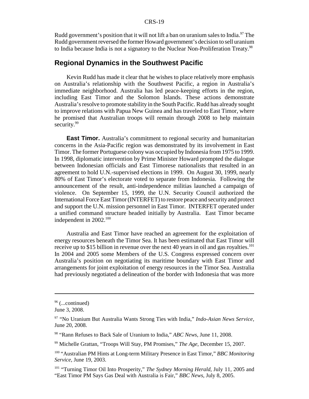Rudd government's position that it will not lift a ban on uranium sales to India.<sup>97</sup> The Rudd government reversed the former Howard government's decision to sell uranium to India because India is not a signatory to the Nuclear Non-Proliferation Treaty.<sup>98</sup>

## **Regional Dynamics in the Southwest Pacific**

Kevin Rudd has made it clear that he wishes to place relatively more emphasis on Australia's relationship with the Southwest Pacific, a region in Australia's immediate neighborhood. Australia has led peace-keeping efforts in the region, including East Timor and the Solomon Islands. These actions demonstrate Australia's resolve to promote stability in the South Pacific. Rudd has already sought to improve relations with Papua New Guinea and has traveled to East Timor, where he promised that Australian troops will remain through 2008 to help maintain security.<sup>99</sup>

**East Timor.** Australia's commitment to regional security and humanitarian concerns in the Asia-Pacific region was demonstrated by its involvement in East Timor. The former Portuguese colony was occupied by Indonesia from 1975 to 1999. In 1998, diplomatic intervention by Prime Minister Howard prompted the dialogue between Indonesian officials and East Timorese nationalists that resulted in an agreement to hold U.N.-supervised elections in 1999. On August 30, 1999, nearly 80% of East Timor's electorate voted to separate from Indonesia. Following the announcement of the result, anti-independence militias launched a campaign of violence. On September 15, 1999, the U.N. Security Council authorized the International Force East Timor (INTERFET) to restore peace and security and protect and support the U.N. mission personnel in East Timor. INTERFET operated under a unified command structure headed initially by Australia. East Timor became independent in 2002.<sup>100</sup>

Australia and East Timor have reached an agreement for the exploitation of energy resources beneath the Timor Sea. It has been estimated that East Timor will receive up to \$15 billion in revenue over the next 40 years in oil and gas royalties.<sup>101</sup> In 2004 and 2005 some Members of the U.S. Congress expressed concern over Australia's position on negotiating its maritime boundary with East Timor and arrangements for joint exploitation of energy resources in the Timor Sea. Australia had previously negotiated a delineation of the border with Indonesia that was more

 $96$  (...continued)

June 3, 2008.

<sup>97 &</sup>quot;No Uranium But Australia Wants Strong Ties with India," *Indo-Asian News Service,* June 20, 2008.

<sup>98 &</sup>quot;Rann Refuses to Back Sale of Uranium to India," *ABC News*, June 11, 2008.

<sup>99</sup> Michelle Grattan, "Troops Will Stay, PM Promises," *The Age,* December 15, 2007.

<sup>100 &</sup>quot;Australian PM Hints at Long-term Military Presence in East Timor," *BBC Monitoring Service*, June 19, 2003.

<sup>101 &</sup>quot;Turning Timor Oil Into Prosperity," *The Sydney Morning Herald*, July 11, 2005 and "East Timor PM Says Gas Deal with Australia is Fair," *BBC News*, July 8, 2005.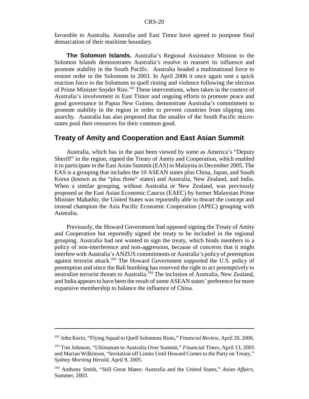favorable to Australia. Australia and East Timor have agreed to postpone final demarcation of their maritime boundary.

**The Solomon Islands.** Australia's Regional Assistance Mission to the Solomon Islands demonstrates Australia's resolve to reassert its influence and promote stability in the South Pacific. Australia headed a multinational force to restore order in the Solomons in 2003. In April 2006 it once again sent a quick reaction force to the Solomons to quell rioting and violence following the election of Prime Minister Snyder Rini.102 These interventions, when taken in the context of Australia's involvement in East Timor and ongoing efforts to promote peace and good governance in Papua New Guinea, demonstrate Australia's commitment to promote stability in the region in order to prevent countries from slipping into anarchy. Australia has also proposed that the smaller of the South Pacific microstates pool their resources for their common good.

#### **Treaty of Amity and Cooperation and East Asian Summit**

Australia, which has in the past been viewed by some as America's "Deputy Sheriff" in the region, signed the Treaty of Amity and Cooperation, which enabled it to participate in the East Asian Summit (EAS) in Malaysia in December 2005. The EAS is a grouping that includes the 10 ASEAN states plus China, Japan, and South Korea (known as the "plus three" states) and Australia, New Zealand, and India. When a similar grouping, without Australia or New Zealand, was previously proposed as the East Asian Economic Caucus (EAEC) by former Malaysian Prime Minister Mahathir, the United States was reportedly able to thwart the concept and instead champion the Asia Pacific Economic Cooperation (APEC) grouping with Australia.

Previously, the Howard Government had opposed signing the Treaty of Amity and Cooperation but reportedly signed the treaty to be included in the regional grouping. Australia had not wanted to sign the treaty, which binds members to a policy of non-interference and non-aggression, because of concerns that it might interfere with Australia's ANZUS commitments or Australia's policy of preemption against terrorist attack.<sup>103</sup> The Howard Government supported the U.S. policy of preemption and since the Bali bombing has reserved the right to act preemptively to neutralize terrorist threats to Australia.<sup>104</sup> The inclusion of Australia, New Zealand, and India appears to have been the result of some ASEAN states' preference for more expansive membership to balance the influence of China.

<sup>102</sup> John Kerin, "Flying Squad to Quell Solomons Riots," *Financial Review,* April 20, 2006.

<sup>103</sup> Tim Johnson, "Ultimatum to Australia Over Summit," *Financial Times,* April 13, 2005 and Marian Wilkinson, "Invitation off Limits Until Howard Comes to the Party on Treaty," *Sydney Morning Herald,* April 9, 2005.

<sup>104</sup> Anthony Smith, "Still Great Mates: Australia and the United States," *Asian Affairs*, Summer, 2003.